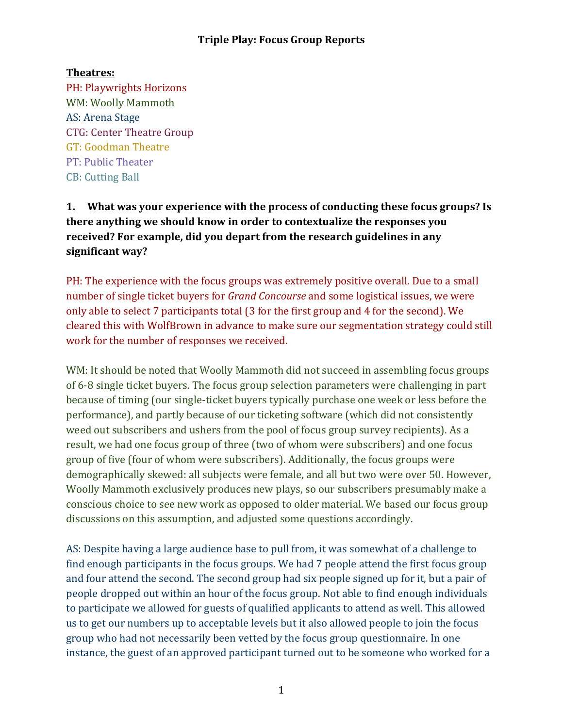#### **Theatres:**

PH: Playwrights Horizons WM: Woolly Mammoth AS: Arena Stage CTG: Center Theatre Group GT: Goodman Theatre PT: Public Theater CB: Cutting Ball

**1.** What was your experience with the process of conducting these focus groups? Is **there anything we should know in order to contextualize the responses you** received? For example, did you depart from the research guidelines in any significant way?

PH: The experience with the focus groups was extremely positive overall. Due to a small number of single ticket buyers for *Grand Concourse* and some logistical issues, we were only able to select 7 participants total (3 for the first group and 4 for the second). We cleared this with WolfBrown in advance to make sure our segmentation strategy could still work for the number of responses we received.

WM: It should be noted that Woolly Mammoth did not succeed in assembling focus groups of 6-8 single ticket buyers. The focus group selection parameters were challenging in part because of timing (our single-ticket buyers typically purchase one week or less before the performance), and partly because of our ticketing software (which did not consistently weed out subscribers and ushers from the pool of focus group survey recipients). As a result, we had one focus group of three (two of whom were subscribers) and one focus group of five (four of whom were subscribers). Additionally, the focus groups were demographically skewed: all subjects were female, and all but two were over 50. However, Woolly Mammoth exclusively produces new plays, so our subscribers presumably make a conscious choice to see new work as opposed to older material. We based our focus group discussions on this assumption, and adjusted some questions accordingly.

AS: Despite having a large audience base to pull from, it was somewhat of a challenge to find enough participants in the focus groups. We had 7 people attend the first focus group and four attend the second. The second group had six people signed up for it, but a pair of people dropped out within an hour of the focus group. Not able to find enough individuals to participate we allowed for guests of qualified applicants to attend as well. This allowed us to get our numbers up to acceptable levels but it also allowed people to join the focus group who had not necessarily been vetted by the focus group questionnaire. In one instance, the guest of an approved participant turned out to be someone who worked for a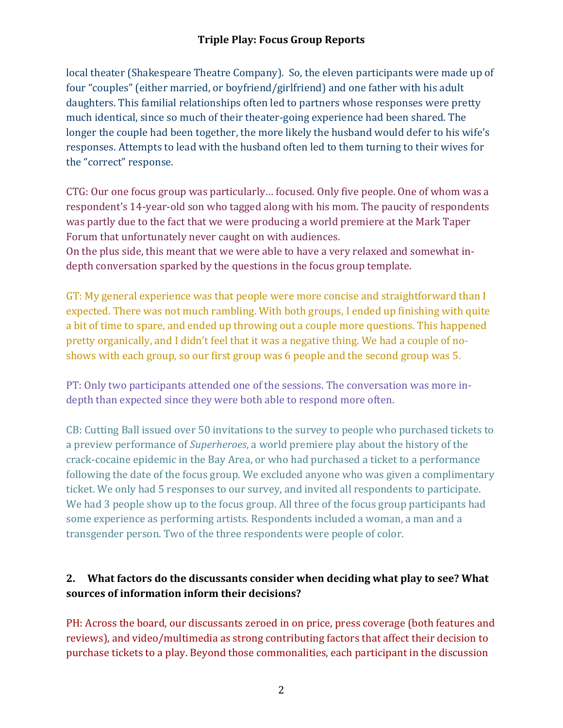local theater (Shakespeare Theatre Company). So, the eleven participants were made up of four "couples" (either married, or boyfriend/girlfriend) and one father with his adult daughters. This familial relationships often led to partners whose responses were pretty much identical, since so much of their theater-going experience had been shared. The longer the couple had been together, the more likely the husband would defer to his wife's responses. Attempts to lead with the husband often led to them turning to their wives for the "correct" response.

CTG: Our one focus group was particularly... focused. Only five people. One of whom was a respondent's 14-year-old son who tagged along with his mom. The paucity of respondents was partly due to the fact that we were producing a world premiere at the Mark Taper Forum that unfortunately never caught on with audiences.

On the plus side, this meant that we were able to have a very relaxed and somewhat indepth conversation sparked by the questions in the focus group template.

GT: My general experience was that people were more concise and straightforward than I expected. There was not much rambling. With both groups, I ended up finishing with quite a bit of time to spare, and ended up throwing out a couple more questions. This happened pretty organically, and I didn't feel that it was a negative thing. We had a couple of noshows with each group, so our first group was 6 people and the second group was 5.

PT: Only two participants attended one of the sessions. The conversation was more indepth than expected since they were both able to respond more often.

CB: Cutting Ball issued over 50 invitations to the survey to people who purchased tickets to a preview performance of *Superheroes*, a world premiere play about the history of the crack-cocaine epidemic in the Bay Area, or who had purchased a ticket to a performance following the date of the focus group. We excluded anyone who was given a complimentary ticket. We only had 5 responses to our survey, and invited all respondents to participate. We had 3 people show up to the focus group. All three of the focus group participants had some experience as performing artists. Respondents included a woman, a man and a transgender person. Two of the three respondents were people of color.

# 2. What factors do the discussants consider when deciding what play to see? What sources of information inform their decisions?

PH: Across the board, our discussants zeroed in on price, press coverage (both features and reviews), and video/multimedia as strong contributing factors that affect their decision to purchase tickets to a play. Beyond those commonalities, each participant in the discussion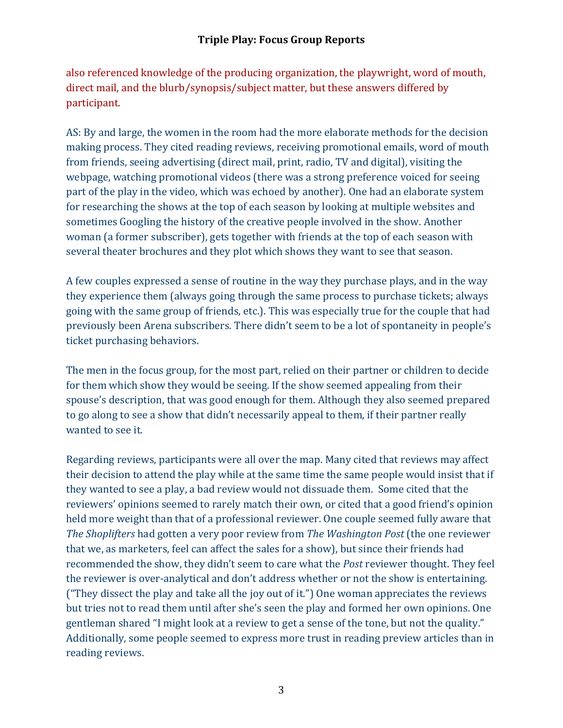also referenced knowledge of the producing organization, the playwright, word of mouth, direct mail, and the blurb/synopsis/subject matter, but these answers differed by participant.

AS: By and large, the women in the room had the more elaborate methods for the decision making process. They cited reading reviews, receiving promotional emails, word of mouth from friends, seeing advertising (direct mail, print, radio, TV and digital), visiting the webpage, watching promotional videos (there was a strong preference voiced for seeing part of the play in the video, which was echoed by another). One had an elaborate system for researching the shows at the top of each season by looking at multiple websites and sometimes Googling the history of the creative people involved in the show. Another woman (a former subscriber), gets together with friends at the top of each season with several theater brochures and they plot which shows they want to see that season.

A few couples expressed a sense of routine in the way they purchase plays, and in the way they experience them (always going through the same process to purchase tickets; always going with the same group of friends, etc.). This was especially true for the couple that had previously been Arena subscribers. There didn't seem to be a lot of spontaneity in people's ticket purchasing behaviors.

The men in the focus group, for the most part, relied on their partner or children to decide for them which show they would be seeing. If the show seemed appealing from their spouse's description, that was good enough for them. Although they also seemed prepared to go along to see a show that didn't necessarily appeal to them, if their partner really wanted to see it.

Regarding reviews, participants were all over the map. Many cited that reviews may affect their decision to attend the play while at the same time the same people would insist that if they wanted to see a play, a bad review would not dissuade them. Some cited that the reviewers' opinions seemed to rarely match their own, or cited that a good friend's opinion held more weight than that of a professional reviewer. One couple seemed fully aware that *The Shoplifters* had gotten a very poor review from *The Washington Post* (the one reviewer that we, as marketers, feel can affect the sales for a show), but since their friends had recommended the show, they didn't seem to care what the *Post* reviewer thought. They feel the reviewer is over-analytical and don't address whether or not the show is entertaining. ("They dissect the play and take all the joy out of it.") One woman appreciates the reviews but tries not to read them until after she's seen the play and formed her own opinions. One gentleman shared "I might look at a review to get a sense of the tone, but not the quality." Additionally, some people seemed to express more trust in reading preview articles than in reading reviews.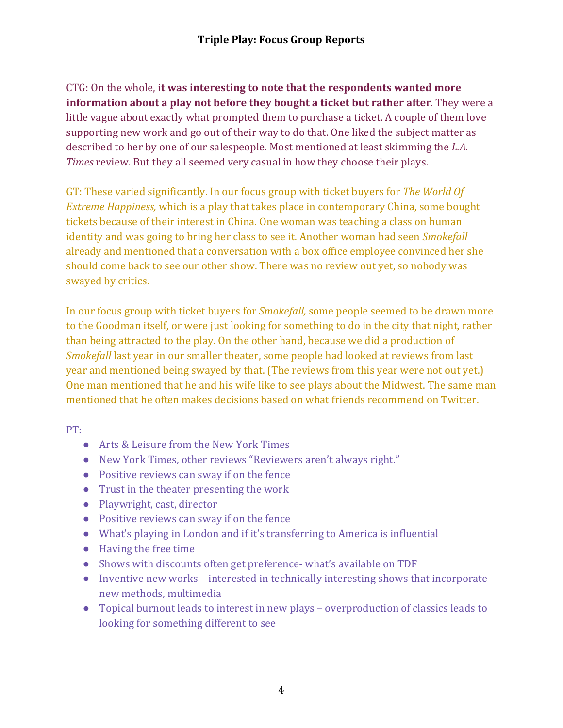CTG: On the whole, it was interesting to note that the respondents wanted more **information about a play not before they bought a ticket but rather after**. They were a little vague about exactly what prompted them to purchase a ticket. A couple of them love supporting new work and go out of their way to do that. One liked the subject matter as described to her by one of our salespeople. Most mentioned at least skimming the *L.A. Times* review. But they all seemed very casual in how they choose their plays.

GT: These varied significantly. In our focus group with ticket buyers for The World Of *Extreme Happiness,* which is a play that takes place in contemporary China, some bought tickets because of their interest in China. One woman was teaching a class on human identity and was going to bring her class to see it. Another woman had seen *Smokefall* already and mentioned that a conversation with a box office employee convinced her she should come back to see our other show. There was no review out yet, so nobody was swayed by critics.

In our focus group with ticket buyers for *Smokefall*, some people seemed to be drawn more to the Goodman itself, or were just looking for something to do in the city that night, rather than being attracted to the play. On the other hand, because we did a production of *Smokefall* last year in our smaller theater, some people had looked at reviews from last year and mentioned being swayed by that. (The reviews from this year were not out yet.) One man mentioned that he and his wife like to see plays about the Midwest. The same man mentioned that he often makes decisions based on what friends recommend on Twitter.

PT:

- Arts & Leisure from the New York Times
- New York Times, other reviews "Reviewers aren't always right."
- Positive reviews can sway if on the fence
- $\bullet$  Trust in the theater presenting the work
- Playwright, cast, director
- Positive reviews can sway if on the fence
- $\bullet$  What's playing in London and if it's transferring to America is influential
- $\bullet$  Having the free time
- Shows with discounts often get preference- what's available on TDF
- $\bullet$  Inventive new works interested in technically interesting shows that incorporate new methods, multimedia
- Topical burnout leads to interest in new plays overproduction of classics leads to looking for something different to see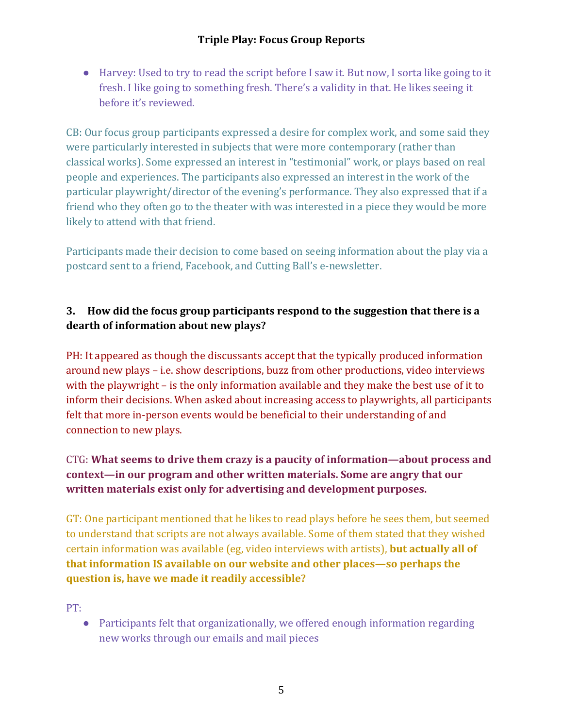● Harvey: Used to try to read the script before I saw it. But now, I sorta like going to it fresh. I like going to something fresh. There's a validity in that. He likes seeing it before it's reviewed.

CB: Our focus group participants expressed a desire for complex work, and some said they were particularly interested in subjects that were more contemporary (rather than classical works). Some expressed an interest in "testimonial" work, or plays based on real people and experiences. The participants also expressed an interest in the work of the particular playwright/director of the evening's performance. They also expressed that if a friend who they often go to the theater with was interested in a piece they would be more likely to attend with that friend.

Participants made their decision to come based on seeing information about the play via a postcard sent to a friend, Facebook, and Cutting Ball's e-newsletter.

# **3.** How did the focus group participants respond to the suggestion that there is a dearth of information about new plays?

PH: It appeared as though the discussants accept that the typically produced information around new plays – i.e. show descriptions, buzz from other productions, video interviews with the playwright  $-$  is the only information available and they make the best use of it to inform their decisions. When asked about increasing access to playwrights, all participants felt that more in-person events would be beneficial to their understanding of and connection to new plays.

## CTG: What seems to drive them crazy is a paucity of information—about process and **context—in our program and other written materials. Some are angry that our** written materials exist only for advertising and development purposes.

GT: One participant mentioned that he likes to read plays before he sees them, but seemed to understand that scripts are not always available. Some of them stated that they wished certain information was available (eg, video interviews with artists), **but actually all of that information IS available on our website and other places—so perhaps the question is, have we made it readily accessible?** 

PT:

• Participants felt that organizationally, we offered enough information regarding new works through our emails and mail pieces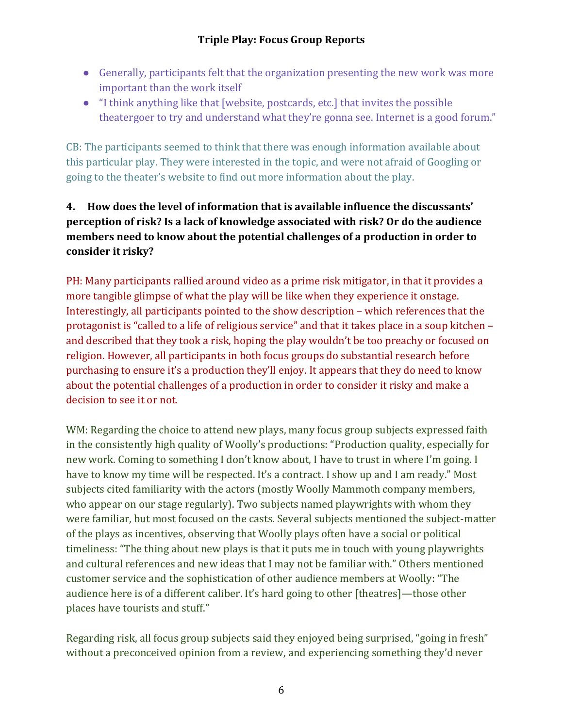- Generally, participants felt that the organization presenting the new work was more important than the work itself
- $\bullet$  "I think anything like that [website, postcards, etc.] that invites the possible theatergoer to try and understand what they're gonna see. Internet is a good forum."

CB: The participants seemed to think that there was enough information available about this particular play. They were interested in the topic, and were not afraid of Googling or going to the theater's website to find out more information about the play.

# **4.** How does the level of information that is available influence the discussants' **perception of risk?** Is a lack of knowledge associated with risk? Or do the audience **members need to know about the potential challenges of a production in order to** consider it risky?

PH: Many participants rallied around video as a prime risk mitigator, in that it provides a more tangible glimpse of what the play will be like when they experience it onstage. Interestingly, all participants pointed to the show description  $-$  which references that the protagonist is "called to a life of religious service" and that it takes place in a soup kitchen – and described that they took a risk, hoping the play wouldn't be too preachy or focused on religion. However, all participants in both focus groups do substantial research before purchasing to ensure it's a production they'll enjoy. It appears that they do need to know about the potential challenges of a production in order to consider it risky and make a decision to see it or not.

WM: Regarding the choice to attend new plays, many focus group subjects expressed faith in the consistently high quality of Woolly's productions: "Production quality, especially for new work. Coming to something I don't know about, I have to trust in where I'm going. I have to know my time will be respected. It's a contract. I show up and I am ready." Most subjects cited familiarity with the actors (mostly Woolly Mammoth company members, who appear on our stage regularly). Two subjects named playwrights with whom they were familiar, but most focused on the casts. Several subjects mentioned the subject-matter of the plays as incentives, observing that Woolly plays often have a social or political timeliness: "The thing about new plays is that it puts me in touch with young playwrights and cultural references and new ideas that I may not be familiar with." Others mentioned customer service and the sophistication of other audience members at Woolly: "The audience here is of a different caliber. It's hard going to other [theatres]—those other places have tourists and stuff."

Regarding risk, all focus group subjects said they enjoyed being surprised, "going in fresh" without a preconceived opinion from a review, and experiencing something they'd never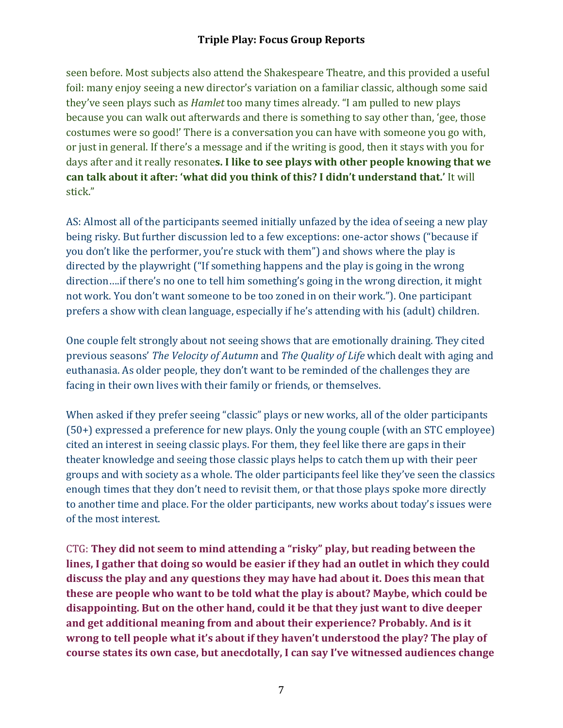seen before. Most subjects also attend the Shakespeare Theatre, and this provided a useful foil: many enjoy seeing a new director's variation on a familiar classic, although some said they've seen plays such as *Hamlet* too many times already. "I am pulled to new plays because you can walk out afterwards and there is something to say other than, 'gee, those costumes were so good!' There is a conversation you can have with someone you go with, or just in general. If there's a message and if the writing is good, then it stays with you for days after and it really resonates. I like to see plays with other people knowing that we can talk about it after: 'what did you think of this? I didn't understand that.' It will stick." 

AS: Almost all of the participants seemed initially unfazed by the idea of seeing a new play being risky. But further discussion led to a few exceptions: one-actor shows ("because if you don't like the performer, you're stuck with them") and shows where the play is directed by the playwright ("If something happens and the play is going in the wrong direction....if there's no one to tell him something's going in the wrong direction, it might not work. You don't want someone to be too zoned in on their work."). One participant prefers a show with clean language, especially if he's attending with his (adult) children.

One couple felt strongly about not seeing shows that are emotionally draining. They cited previous seasons' *The Velocity of Autumn* and *The Quality of Life* which dealt with aging and euthanasia. As older people, they don't want to be reminded of the challenges they are facing in their own lives with their family or friends, or themselves.

When asked if they prefer seeing "classic" plays or new works, all of the older participants  $(50+)$  expressed a preference for new plays. Only the young couple (with an STC employee) cited an interest in seeing classic plays. For them, they feel like there are gaps in their theater knowledge and seeing those classic plays helps to catch them up with their peer groups and with society as a whole. The older participants feel like they've seen the classics enough times that they don't need to revisit them, or that those plays spoke more directly to another time and place. For the older participants, new works about today's issues were of the most interest.

CTG: They did not seem to mind attending a "risky" play, but reading between the lines, I gather that doing so would be easier if they had an outlet in which they could **discuss the play and any questions they may have had about it. Does this mean that these are people who want to be told what the play is about? Maybe, which could be** disappointing. But on the other hand, could it be that they just want to dive deeper and get additional meaning from and about their experience? Probably. And is it wrong to tell people what it's about if they haven't understood the play? The play of course states its own case, but anecdotally, I can say I've witnessed audiences change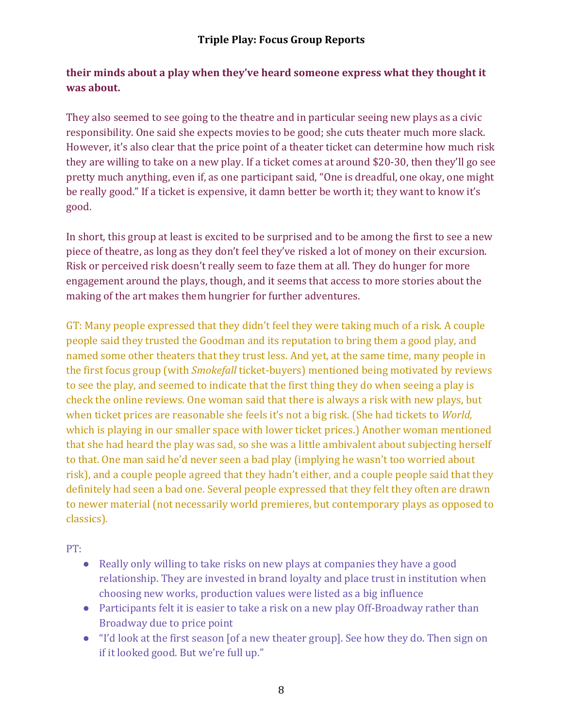### **their minds about a play when they've heard someone express what they thought it was about.**

They also seemed to see going to the theatre and in particular seeing new plays as a civic responsibility. One said she expects movies to be good; she cuts theater much more slack. However, it's also clear that the price point of a theater ticket can determine how much risk they are willing to take on a new play. If a ticket comes at around \$20-30, then they'll go see pretty much anything, even if, as one participant said, "One is dreadful, one okay, one might be really good." If a ticket is expensive, it damn better be worth it; they want to know it's good. 

In short, this group at least is excited to be surprised and to be among the first to see a new piece of theatre, as long as they don't feel they've risked a lot of money on their excursion. Risk or perceived risk doesn't really seem to faze them at all. They do hunger for more engagement around the plays, though, and it seems that access to more stories about the making of the art makes them hungrier for further adventures.

GT: Many people expressed that they didn't feel they were taking much of a risk. A couple people said they trusted the Goodman and its reputation to bring them a good play, and named some other theaters that they trust less. And yet, at the same time, many people in the first focus group (with *Smokefall* ticket-buyers) mentioned being motivated by reviews to see the play, and seemed to indicate that the first thing they do when seeing a play is check the online reviews. One woman said that there is always a risk with new plays, but when ticket prices are reasonable she feels it's not a big risk. (She had tickets to *World,* which is playing in our smaller space with lower ticket prices.) Another woman mentioned that she had heard the play was sad, so she was a little ambivalent about subjecting herself to that. One man said he'd never seen a bad play (implying he wasn't too worried about risk), and a couple people agreed that they hadn't either, and a couple people said that they definitely had seen a bad one. Several people expressed that they felt they often are drawn to newer material (not necessarily world premieres, but contemporary plays as opposed to classics).

PT:

- Really only willing to take risks on new plays at companies they have a good relationship. They are invested in brand loyalty and place trust in institution when choosing new works, production values were listed as a big influence
- Participants felt it is easier to take a risk on a new play Off-Broadway rather than Broadway due to price point
- "I'd look at the first season [of a new theater group]. See how they do. Then sign on if it looked good. But we're full up."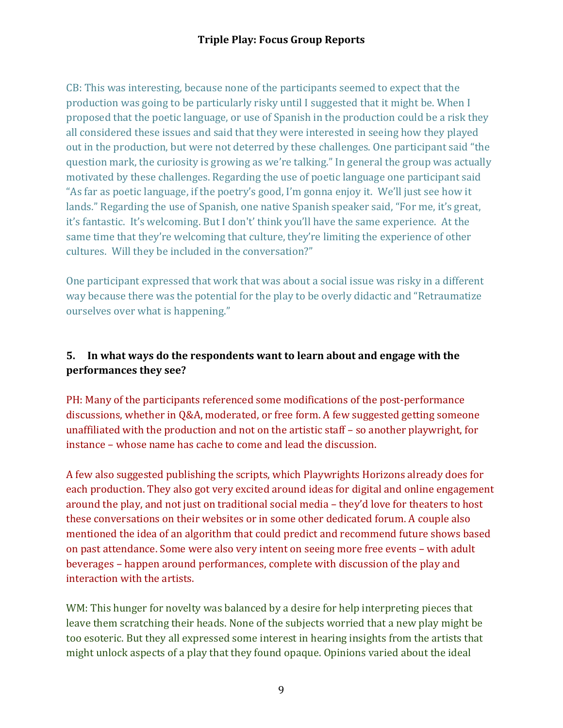CB: This was interesting, because none of the participants seemed to expect that the production was going to be particularly risky until I suggested that it might be. When I proposed that the poetic language, or use of Spanish in the production could be a risk they all considered these issues and said that they were interested in seeing how they played out in the production, but were not deterred by these challenges. One participant said "the question mark, the curiosity is growing as we're talking." In general the group was actually motivated by these challenges. Regarding the use of poetic language one participant said "As far as poetic language, if the poetry's good, I'm gonna enjoy it. We'll just see how it lands." Regarding the use of Spanish, one native Spanish speaker said, "For me, it's great, it's fantastic. It's welcoming. But I don't' think you'll have the same experience. At the same time that they're welcoming that culture, they're limiting the experience of other cultures. Will they be included in the conversation?"

One participant expressed that work that was about a social issue was risky in a different way because there was the potential for the play to be overly didactic and "Retraumatize" ourselves over what is happening."

#### **5.** In what ways do the respondents want to learn about and engage with the **performances they see?**

PH: Many of the participants referenced some modifications of the post-performance discussions, whether in Q&A, moderated, or free form. A few suggested getting someone unaffiliated with the production and not on the artistic staff  $-$  so another playwright, for instance – whose name has cache to come and lead the discussion.

A few also suggested publishing the scripts, which Playwrights Horizons already does for each production. They also got very excited around ideas for digital and online engagement around the play, and not just on traditional social media – they'd love for theaters to host these conversations on their websites or in some other dedicated forum. A couple also mentioned the idea of an algorithm that could predict and recommend future shows based on past attendance. Some were also very intent on seeing more free events - with adult beverages – happen around performances, complete with discussion of the play and interaction with the artists.

WM: This hunger for novelty was balanced by a desire for help interpreting pieces that leave them scratching their heads. None of the subjects worried that a new play might be too esoteric. But they all expressed some interest in hearing insights from the artists that might unlock aspects of a play that they found opaque. Opinions varied about the ideal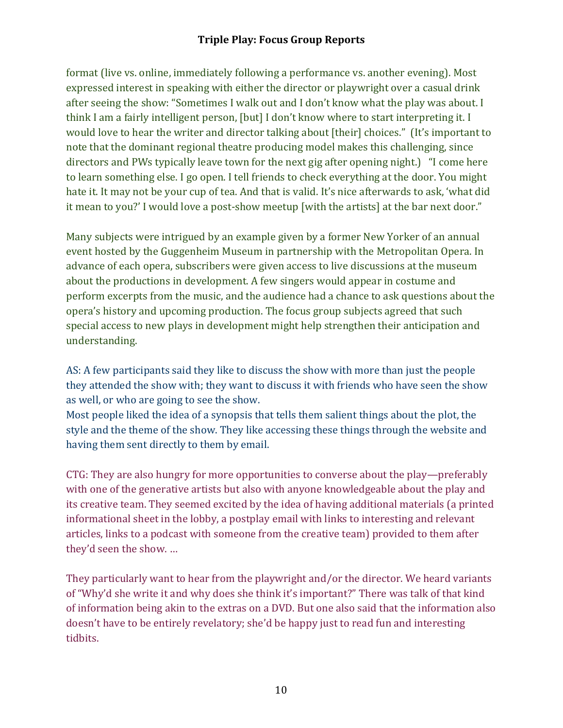format (live vs. online, immediately following a performance vs. another evening). Most expressed interest in speaking with either the director or playwright over a casual drink after seeing the show: "Sometimes I walk out and I don't know what the play was about. I think I am a fairly intelligent person, [but] I don't know where to start interpreting it. I would love to hear the writer and director talking about [their] choices." (It's important to note that the dominant regional theatre producing model makes this challenging, since directors and PWs typically leave town for the next gig after opening night.) "I come here to learn something else. I go open. I tell friends to check everything at the door. You might hate it. It may not be your cup of tea. And that is valid. It's nice afterwards to ask, 'what did it mean to you?' I would love a post-show meetup [with the artists] at the bar next door."

Many subjects were intrigued by an example given by a former New Yorker of an annual event hosted by the Guggenheim Museum in partnership with the Metropolitan Opera. In advance of each opera, subscribers were given access to live discussions at the museum about the productions in development. A few singers would appear in costume and perform excerpts from the music, and the audience had a chance to ask questions about the opera's history and upcoming production. The focus group subjects agreed that such special access to new plays in development might help strengthen their anticipation and understanding. 

AS: A few participants said they like to discuss the show with more than just the people they attended the show with; they want to discuss it with friends who have seen the show as well, or who are going to see the show.

Most people liked the idea of a synopsis that tells them salient things about the plot, the style and the theme of the show. They like accessing these things through the website and having them sent directly to them by email.

CTG: They are also hungry for more opportunities to converse about the play—preferably with one of the generative artists but also with anyone knowledgeable about the play and its creative team. They seemed excited by the idea of having additional materials (a printed informational sheet in the lobby, a postplay email with links to interesting and relevant articles, links to a podcast with someone from the creative team) provided to them after they'd seen the show. ...

They particularly want to hear from the playwright and/or the director. We heard variants of "Why'd she write it and why does she think it's important?" There was talk of that kind of information being akin to the extras on a DVD. But one also said that the information also doesn't have to be entirely revelatory; she'd be happy just to read fun and interesting tidbits.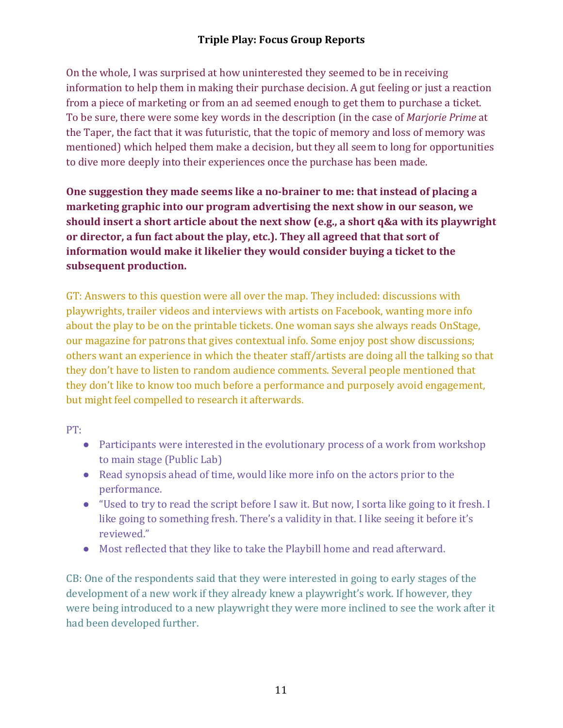On the whole, I was surprised at how uninterested they seemed to be in receiving information to help them in making their purchase decision. A gut feeling or just a reaction from a piece of marketing or from an ad seemed enough to get them to purchase a ticket. To be sure, there were some key words in the description (in the case of *Marjorie Prime* at the Taper, the fact that it was futuristic, that the topic of memory and loss of memory was mentioned) which helped them make a decision, but they all seem to long for opportunities to dive more deeply into their experiences once the purchase has been made.

One suggestion they made seems like a no-brainer to me: that instead of placing a marketing graphic into our program advertising the next show in our season, we should insert a short article about the next show (e.g., a short q&a with its playwright or director, a fun fact about the play, etc.). They all agreed that that sort of **information would make it likelier they would consider buying a ticket to the** subsequent production.

GT: Answers to this question were all over the map. They included: discussions with playwrights, trailer videos and interviews with artists on Facebook, wanting more info about the play to be on the printable tickets. One woman says she always reads OnStage, our magazine for patrons that gives contextual info. Some enjoy post show discussions; others want an experience in which the theater staff/artists are doing all the talking so that they don't have to listen to random audience comments. Several people mentioned that they don't like to know too much before a performance and purposely avoid engagement, but might feel compelled to research it afterwards.

PT: 

- Participants were interested in the evolutionary process of a work from workshop to main stage (Public Lab)
- Read synopsis ahead of time, would like more info on the actors prior to the performance.
- "Used to try to read the script before I saw it. But now, I sorta like going to it fresh. I like going to something fresh. There's a validity in that. I like seeing it before it's reviewed."
- Most reflected that they like to take the Playbill home and read afterward.

CB: One of the respondents said that they were interested in going to early stages of the development of a new work if they already knew a playwright's work. If however, they were being introduced to a new playwright they were more inclined to see the work after it had been developed further.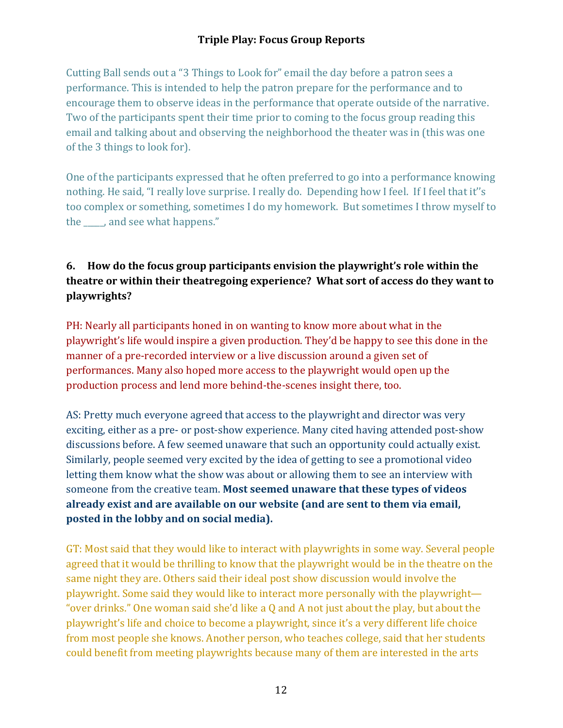Cutting Ball sends out a "3 Things to Look for" email the day before a patron sees a performance. This is intended to help the patron prepare for the performance and to encourage them to observe ideas in the performance that operate outside of the narrative. Two of the participants spent their time prior to coming to the focus group reading this email and talking about and observing the neighborhood the theater was in (this was one of the 3 things to look for).

One of the participants expressed that he often preferred to go into a performance knowing nothing. He said, "I really love surprise. I really do. Depending how I feel. If I feel that it"s too complex or something, sometimes I do my homework. But sometimes I throw myself to the \_\_\_\_, and see what happens."

# **6.** How do the focus group participants envision the playwright's role within the **theatre or within their theatregoing experience?** What sort of access do they want to **playwrights?**

PH: Nearly all participants honed in on wanting to know more about what in the playwright's life would inspire a given production. They'd be happy to see this done in the manner of a pre-recorded interview or a live discussion around a given set of performances. Many also hoped more access to the playwright would open up the production process and lend more behind-the-scenes insight there, too.

AS: Pretty much everyone agreed that access to the playwright and director was very exciting, either as a pre- or post-show experience. Many cited having attended post-show discussions before. A few seemed unaware that such an opportunity could actually exist. Similarly, people seemed very excited by the idea of getting to see a promotional video letting them know what the show was about or allowing them to see an interview with someone from the creative team. **Most seemed unaware that these types of videos already exist and are available on our website (and are sent to them via email, posted in the lobby and on social media).** 

GT: Most said that they would like to interact with playwrights in some way. Several people agreed that it would be thrilling to know that the playwright would be in the theatre on the same night they are. Others said their ideal post show discussion would involve the playwright. Some said they would like to interact more personally with the playwright— "over drinks." One woman said she'd like a  $Q$  and  $A$  not just about the play, but about the playwright's life and choice to become a playwright, since it's a very different life choice from most people she knows. Another person, who teaches college, said that her students could benefit from meeting playwrights because many of them are interested in the arts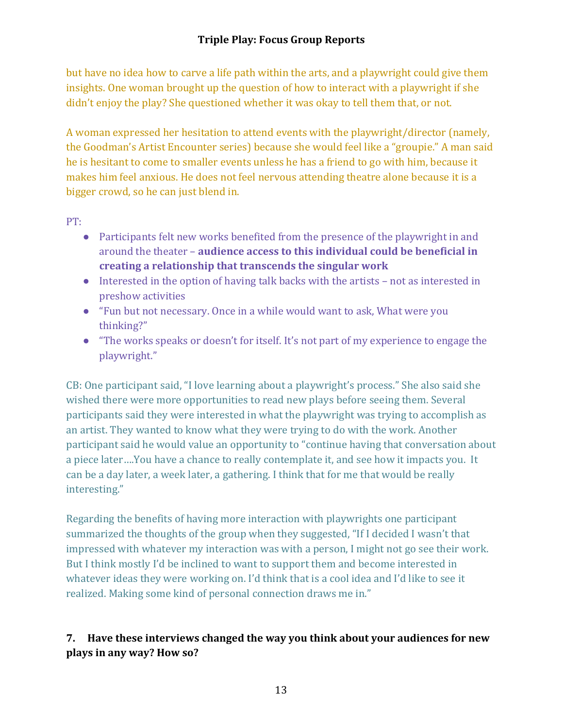but have no idea how to carve a life path within the arts, and a playwright could give them insights. One woman brought up the question of how to interact with a playwright if she didn't enjoy the play? She questioned whether it was okay to tell them that, or not.

A woman expressed her hesitation to attend events with the playwright/director (namely, the Goodman's Artist Encounter series) because she would feel like a "groupie." A man said he is hesitant to come to smaller events unless he has a friend to go with him, because it makes him feel anxious. He does not feel nervous attending theatre alone because it is a bigger crowd, so he can just blend in.

PT: 

- Participants felt new works benefited from the presence of the playwright in and around the theater – **audience access to this individual could be beneficial in** creating a relationship that transcends the singular work
- $\bullet$  Interested in the option of having talk backs with the artists not as interested in preshow activities
- "Fun but not necessary. Once in a while would want to ask, What were you thinking?"
- "The works speaks or doesn't for itself. It's not part of my experience to engage the playwright."

CB: One participant said, "I love learning about a playwright's process." She also said she wished there were more opportunities to read new plays before seeing them. Several participants said they were interested in what the playwright was trying to accomplish as an artist. They wanted to know what they were trying to do with the work. Another participant said he would value an opportunity to "continue having that conversation about a piece later....You have a chance to really contemplate it, and see how it impacts you. It can be a day later, a week later, a gathering. I think that for me that would be really interesting."

Regarding the benefits of having more interaction with playwrights one participant summarized the thoughts of the group when they suggested, "If I decided I wasn't that impressed with whatever my interaction was with a person, I might not go see their work. But I think mostly I'd be inclined to want to support them and become interested in whatever ideas they were working on. I'd think that is a cool idea and I'd like to see it realized. Making some kind of personal connection draws me in."

# **7.** Have these interviews changed the way you think about your audiences for new **plays in any way? How so?**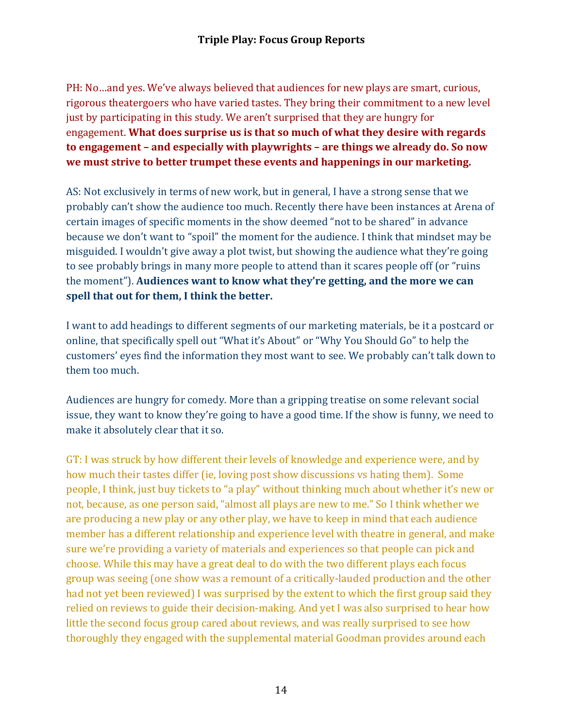PH: No…and yes. We've always believed that audiences for new plays are smart, curious, rigorous theatergoers who have varied tastes. They bring their commitment to a new level just by participating in this study. We aren't surprised that they are hungry for engagement. What does surprise us is that so much of what they desire with regards to engagement – and especially with playwrights – are things we already do. So now we must strive to better trumpet these events and happenings in our marketing.

AS: Not exclusively in terms of new work, but in general, I have a strong sense that we probably can't show the audience too much. Recently there have been instances at Arena of certain images of specific moments in the show deemed "not to be shared" in advance because we don't want to "spoil" the moment for the audience. I think that mindset may be misguided. I wouldn't give away a plot twist, but showing the audience what they're going to see probably brings in many more people to attend than it scares people off (or "ruins") the moment"). Audiences want to know what they're getting, and the more we can spell that out for them, I think the better.

I want to add headings to different segments of our marketing materials, be it a postcard or online, that specifically spell out "What it's About" or "Why You Should Go" to help the customers' eyes find the information they most want to see. We probably can't talk down to them too much.

Audiences are hungry for comedy. More than a gripping treatise on some relevant social issue, they want to know they're going to have a good time. If the show is funny, we need to make it absolutely clear that it so.

GT: I was struck by how different their levels of knowledge and experience were, and by how much their tastes differ (ie, loving post show discussions vs hating them). Some people, I think, just buy tickets to "a play" without thinking much about whether it's new or not, because, as one person said, "almost all plays are new to me." So I think whether we are producing a new play or any other play, we have to keep in mind that each audience member has a different relationship and experience level with theatre in general, and make sure we're providing a variety of materials and experiences so that people can pick and choose. While this may have a great deal to do with the two different plays each focus group was seeing (one show was a remount of a critically-lauded production and the other had not yet been reviewed) I was surprised by the extent to which the first group said they relied on reviews to guide their decision-making. And yet I was also surprised to hear how little the second focus group cared about reviews, and was really surprised to see how thoroughly they engaged with the supplemental material Goodman provides around each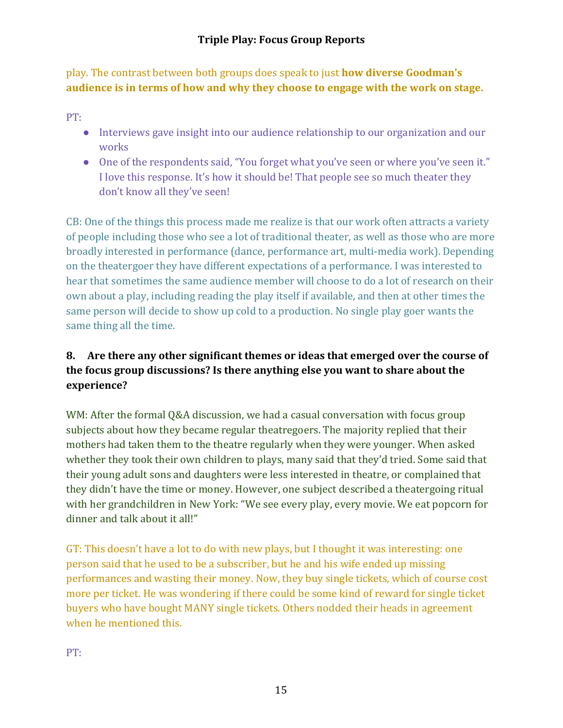play. The contrast between both groups does speak to just **how diverse Goodman's** audience is in terms of how and why they choose to engage with the work on stage.

PT:

- $\bullet$  Interviews gave insight into our audience relationship to our organization and our works
- One of the respondents said, "You forget what you've seen or where you've seen it." I love this response. It's how it should be! That people see so much theater they don't know all they've seen!

CB: One of the things this process made me realize is that our work often attracts a variety of people including those who see a lot of traditional theater, as well as those who are more broadly interested in performance (dance, performance art, multi-media work). Depending on the theatergoer they have different expectations of a performance. I was interested to hear that sometimes the same audience member will choose to do a lot of research on their own about a play, including reading the play itself if available, and then at other times the same person will decide to show up cold to a production. No single play goer wants the same thing all the time.

# **8.** Are there any other significant themes or ideas that emerged over the course of the focus group discussions? Is there anything else you want to share about the **experience?**

WM: After the formal  $Q&A$  discussion, we had a casual conversation with focus group subjects about how they became regular theatregoers. The majority replied that their mothers had taken them to the theatre regularly when they were younger. When asked whether they took their own children to plays, many said that they'd tried. Some said that their young adult sons and daughters were less interested in theatre, or complained that they didn't have the time or money. However, one subject described a theatergoing ritual with her grandchildren in New York: "We see every play, every movie. We eat popcorn for dinner and talk about it all!"

GT: This doesn't have a lot to do with new plays, but I thought it was interesting: one person said that he used to be a subscriber, but he and his wife ended up missing performances and wasting their money. Now, they buy single tickets, which of course cost more per ticket. He was wondering if there could be some kind of reward for single ticket buyers who have bought MANY single tickets. Others nodded their heads in agreement when he mentioned this.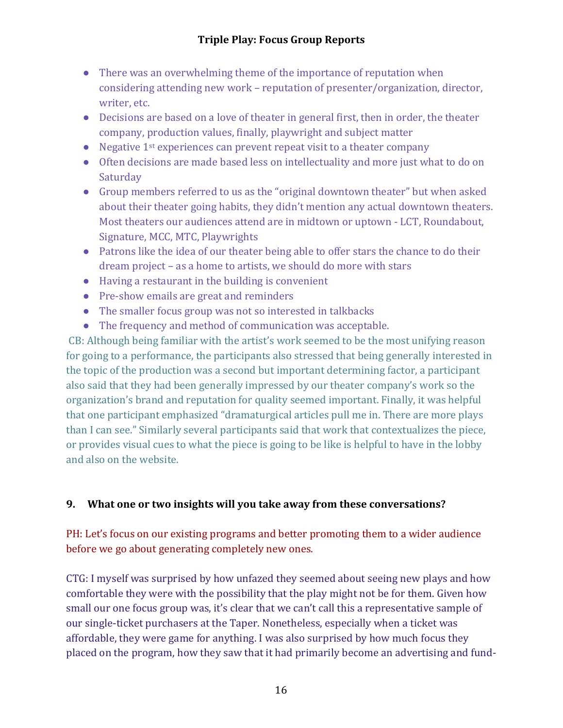- $\bullet$  There was an overwhelming theme of the importance of reputation when considering attending new work – reputation of presenter/organization, director, writer, etc.
- Decisions are based on a love of theater in general first, then in order, the theater company, production values, finally, playwright and subject matter
- Negative  $1^{st}$  experiences can prevent repeat visit to a theater company
- Often decisions are made based less on intellectuality and more just what to do on Saturday
- Group members referred to us as the "original downtown theater" but when asked about their theater going habits, they didn't mention any actual downtown theaters. Most theaters our audiences attend are in midtown or uptown - LCT, Roundabout, Signature, MCC, MTC, Playwrights
- Patrons like the idea of our theater being able to offer stars the chance to do their dream project – as a home to artists, we should do more with stars
- $\bullet$  Having a restaurant in the building is convenient
- Pre-show emails are great and reminders
- $\bullet$  The smaller focus group was not so interested in talkbacks
- The frequency and method of communication was acceptable.

CB: Although being familiar with the artist's work seemed to be the most unifying reason for going to a performance, the participants also stressed that being generally interested in the topic of the production was a second but important determining factor, a participant also said that they had been generally impressed by our theater company's work so the organization's brand and reputation for quality seemed important. Finally, it was helpful that one participant emphasized "dramaturgical articles pull me in. There are more plays than I can see." Similarly several participants said that work that contextualizes the piece, or provides visual cues to what the piece is going to be like is helpful to have in the lobby and also on the website.

# **9.** What one or two insights will you take away from these conversations?

PH: Let's focus on our existing programs and better promoting them to a wider audience before we go about generating completely new ones.

CTG: I myself was surprised by how unfazed they seemed about seeing new plays and how comfortable they were with the possibility that the play might not be for them. Given how small our one focus group was, it's clear that we can't call this a representative sample of our single-ticket purchasers at the Taper. Nonetheless, especially when a ticket was affordable, they were game for anything. I was also surprised by how much focus they placed on the program, how they saw that it had primarily become an advertising and fund